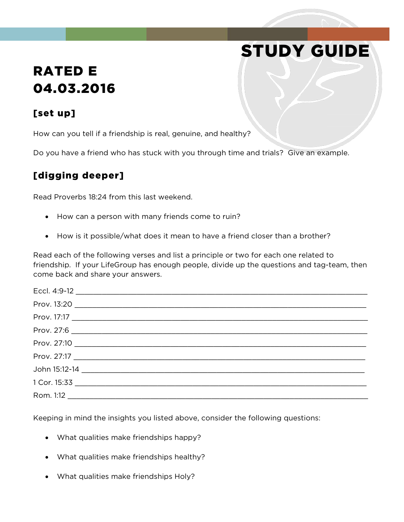## RATED E 04.03.2016

## [set up]

How can you tell if a friendship is real, genuine, and healthy?

Do you have a friend who has stuck with you through time and trials? Give an example.

STUDY GUIDE

## [digging deeper]

Read Proverbs 18:24 from this last weekend.

- How can a person with many friends come to ruin?
- How is it possible/what does it mean to have a friend closer than a brother?

Read each of the following verses and list a principle or two for each one related to friendship. If your LifeGroup has enough people, divide up the questions and tag-team, then come back and share your answers.

Keeping in mind the insights you listed above, consider the following questions:

- What qualities make friendships happy?
- What qualities make friendships healthy?
- What qualities make friendships Holy?